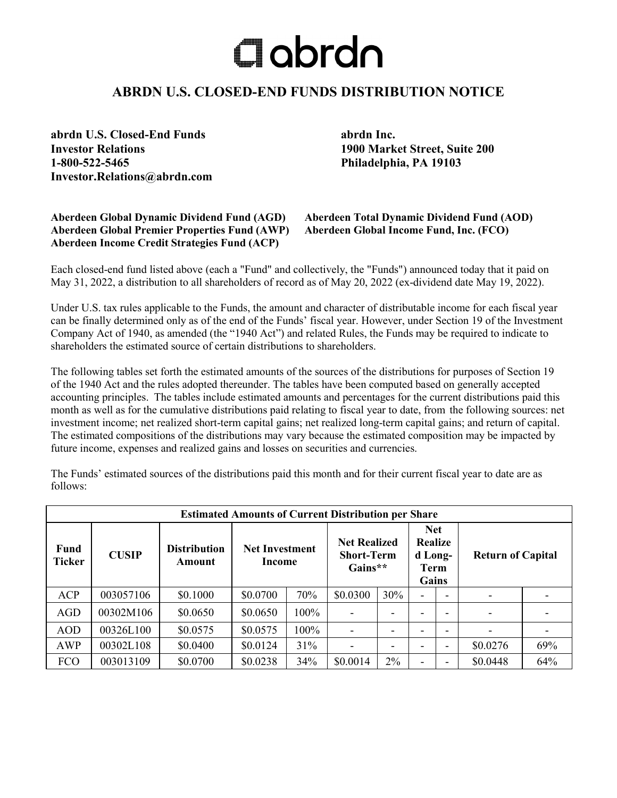## $\Box$ abrdn

## **ABRDN U.S. CLOSED-END FUNDS DISTRIBUTION NOTICE**

**abrdn U.S. Closed-End Funds abrdn Inc. Investor Relations 1900 Market Street, Suite 200 1-800-522-5465 Philadelphia, PA 19103 Investor.Relations@abrdn.com**

## **Aberdeen Global Dynamic Dividend Fund (AGD) Aberdeen Total Dynamic Dividend Fund (AOD) Aberdeen Global Premier Properties Fund (AWP) Aberdeen Income Credit Strategies Fund (ACP)**

Each closed-end fund listed above (each a "Fund" and collectively, the "Funds") announced today that it paid on May 31, 2022, a distribution to all shareholders of record as of May 20, 2022 (ex-dividend date May 19, 2022).

Under U.S. tax rules applicable to the Funds, the amount and character of distributable income for each fiscal year can be finally determined only as of the end of the Funds' fiscal year. However, under Section 19 of the Investment Company Act of 1940, as amended (the "1940 Act") and related Rules, the Funds may be required to indicate to shareholders the estimated source of certain distributions to shareholders.

The following tables set forth the estimated amounts of the sources of the distributions for purposes of Section 19 of the 1940 Act and the rules adopted thereunder. The tables have been computed based on generally accepted accounting principles. The tables include estimated amounts and percentages for the current distributions paid this month as well as for the cumulative distributions paid relating to fiscal year to date, from the following sources: net investment income; net realized short-term capital gains; net realized long-term capital gains; and return of capital. The estimated compositions of the distributions may vary because the estimated composition may be impacted by future income, expenses and realized gains and losses on securities and currencies.

The Funds' estimated sources of the distributions paid this month and for their current fiscal year to date are as follows:

| <b>Estimated Amounts of Current Distribution per Share</b> |              |                               |                                 |      |                                                        |     |                                                                 |  |                          |     |  |
|------------------------------------------------------------|--------------|-------------------------------|---------------------------------|------|--------------------------------------------------------|-----|-----------------------------------------------------------------|--|--------------------------|-----|--|
| Fund<br><b>Ticker</b>                                      | <b>CUSIP</b> | <b>Distribution</b><br>Amount | <b>Net Investment</b><br>Income |      | <b>Net Realized</b><br><b>Short-Term</b><br>Gains $**$ |     | <b>Net</b><br><b>Realize</b><br>d Long-<br><b>Term</b><br>Gains |  | <b>Return of Capital</b> |     |  |
| <b>ACP</b>                                                 | 003057106    | \$0.1000                      | \$0.0700                        | 70%  | \$0.0300                                               | 30% |                                                                 |  |                          |     |  |
| <b>AGD</b>                                                 | 00302M106    | \$0.0650                      | \$0.0650                        | 100% |                                                        |     |                                                                 |  |                          |     |  |
| <b>AOD</b>                                                 | 00326L100    | \$0.0575                      | \$0.0575                        | 100% |                                                        |     |                                                                 |  |                          |     |  |
| <b>AWP</b>                                                 | 00302L108    | \$0.0400                      | \$0.0124                        | 31%  |                                                        |     |                                                                 |  | \$0.0276                 | 69% |  |
| <b>FCO</b>                                                 | 003013109    | \$0.0700                      | \$0.0238                        | 34%  | \$0.0014                                               | 2%  |                                                                 |  | \$0.0448                 | 64% |  |